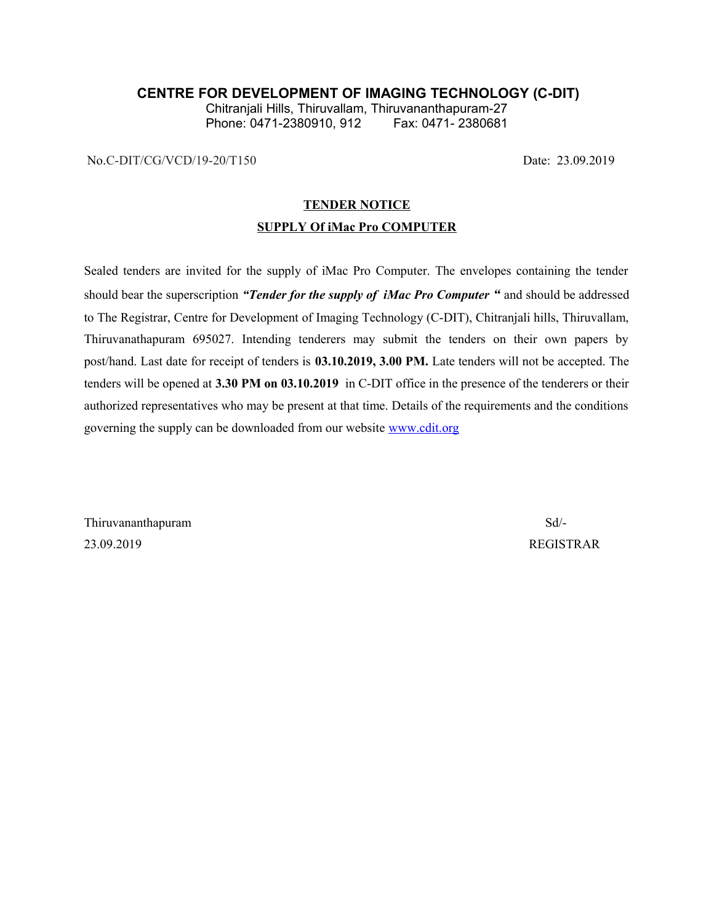## **CENTRE FOR DEVELOPMENT OF IMAGING TECHNOLOGY (C-DIT)**

Chitranjali Hills, Thiruvallam, Thiruvananthapuram-27 Phone: 0471-2380910, 912

No.C-DIT/CG/VCD/19-20/T150 Date: 23.09.2019

## **TENDER NOTICE**

#### **SUPPLY Of iMac Pro COMPUTER**

Sealed tenders are invited for the supply of iMac Pro Computer. The envelopes containing the tender should bear the superscription *"Tender for the supply of iMac Pro Computer "* and should be addressed to The Registrar, Centre for Development of Imaging Technology (C-DIT), Chitranjali hills, Thiruvallam, Thiruvanathapuram 695027. Intending tenderers may submit the tenders on their own papers by post/hand. Last date for receipt of tenders is **03.10.2019, 3.00 PM.** Late tenders will not be accepted. The tenders will be opened at **3.30 PM on 03.10.2019** in C-DIT office in the presence of the tenderers or their authorized representatives who may be present at that time. Details of the requirements and the conditions governing the supply can be downloaded from our website [www.cdit.org](http://www.cdit.org/)

Thiruvananthapuram Sd/- 23.09.2019 REGISTRAR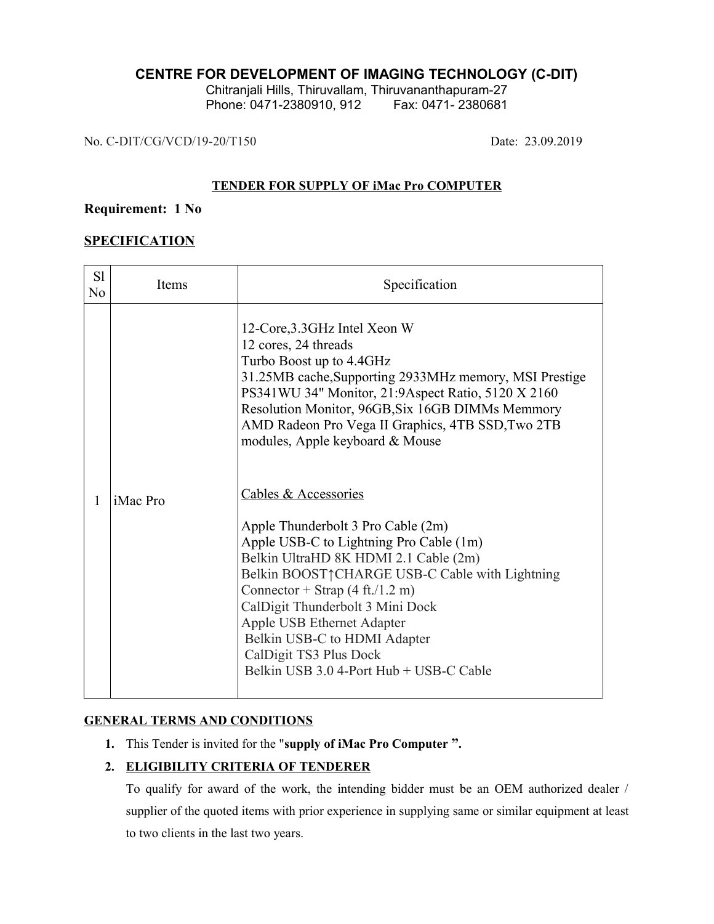# **CENTRE FOR DEVELOPMENT OF IMAGING TECHNOLOGY (C-DIT)**

Chitranjali Hills, Thiruvallam, Thiruvananthapuram-27 Phone: 0471-2380910, 912 Fax: 0471-2380681

No. C-DIT/CG/VCD/19-20/T150 Date: 23.09.2019

# **TENDER FOR SUPPLY OF iMac Pro COMPUTER**

# **Requirement: 1 No**

# **SPECIFICATION**

| S1<br>No | Items           | Specification                                                                                                                                                                                                                                                                                                                                                                                                                                                                                                                                                                                                                                                                                                                                                                              |
|----------|-----------------|--------------------------------------------------------------------------------------------------------------------------------------------------------------------------------------------------------------------------------------------------------------------------------------------------------------------------------------------------------------------------------------------------------------------------------------------------------------------------------------------------------------------------------------------------------------------------------------------------------------------------------------------------------------------------------------------------------------------------------------------------------------------------------------------|
| 1        | <i>iMac Pro</i> | 12-Core, 3.3 GHz Intel Xeon W<br>12 cores, 24 threads<br>Turbo Boost up to 4.4GHz<br>31.25MB cache, Supporting 2933MHz memory, MSI Prestige<br>PS341WU 34" Monitor, 21:9Aspect Ratio, 5120 X 2160<br>Resolution Monitor, 96GB, Six 16GB DIMMs Memmory<br>AMD Radeon Pro Vega II Graphics, 4TB SSD, Two 2TB<br>modules, Apple keyboard & Mouse<br>Cables & Accessories<br>Apple Thunderbolt 3 Pro Cable (2m)<br>Apple USB-C to Lightning Pro Cable (1m)<br>Belkin UltraHD 8K HDMI 2.1 Cable (2m)<br>Belkin BOOST <sup>^</sup> CHARGE USB-C Cable with Lightning<br>Connector + Strap $(4 \text{ ft.}/1.2 \text{ m})$<br>CalDigit Thunderbolt 3 Mini Dock<br>Apple USB Ethernet Adapter<br>Belkin USB-C to HDMI Adapter<br>CalDigit TS3 Plus Dock<br>Belkin USB 3.0 4-Port Hub + USB-C Cable |

# **GENERAL TERMS AND CONDITIONS**

**1.** This Tender is invited for the "**supply of iMac Pro Computer ".**

# **2. ELIGIBILITY CRITERIA OF TENDERER**

To qualify for award of the work, the intending bidder must be an OEM authorized dealer / supplier of the quoted items with prior experience in supplying same or similar equipment at least to two clients in the last two years.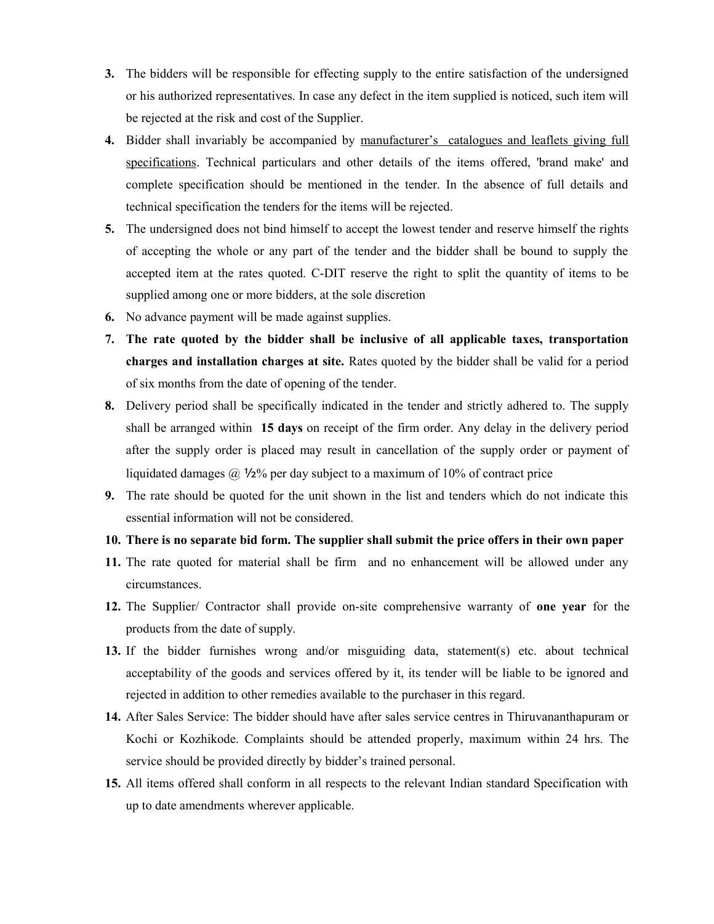- **3.** The bidders will be responsible for effecting supply to the entire satisfaction of the undersigned or his authorized representatives. In case any defect in the item supplied is noticed, such item will be rejected at the risk and cost of the Supplier.
- **4.** Bidder shall invariably be accompanied by manufacturer's catalogues and leaflets giving full specifications. Technical particulars and other details of the items offered, 'brand make' and complete specification should be mentioned in the tender. In the absence of full details and technical specification the tenders for the items will be rejected.
- **5.** The undersigned does not bind himself to accept the lowest tender and reserve himself the rights of accepting the whole or any part of the tender and the bidder shall be bound to supply the accepted item at the rates quoted. C-DIT reserve the right to split the quantity of items to be supplied among one or more bidders, at the sole discretion
- **6.** No advance payment will be made against supplies.
- **7. The rate quoted by the bidder shall be inclusive of all applicable taxes, transportation charges and installation charges at site.** Rates quoted by the bidder shall be valid for a period of six months from the date of opening of the tender.
- **8.** Delivery period shall be specifically indicated in the tender and strictly adhered to. The supply shall be arranged within **15 days** on receipt of the firm order. Any delay in the delivery period after the supply order is placed may result in cancellation of the supply order or payment of liquidated damages  $\omega$  1/2% per day subject to a maximum of 10% of contract price
- **9.** The rate should be quoted for the unit shown in the list and tenders which do not indicate this essential information will not be considered.

#### **10. There is no separate bid form. The supplier shall submit the price offers in their own paper**

- **11.** The rate quoted for material shall be firm and no enhancement will be allowed under any circumstances.
- **12.** The Supplier/ Contractor shall provide on-site comprehensive warranty of **one year** for the products from the date of supply.
- **13.** If the bidder furnishes wrong and/or misguiding data, statement(s) etc. about technical acceptability of the goods and services offered by it, its tender will be liable to be ignored and rejected in addition to other remedies available to the purchaser in this regard.
- **14.** After Sales Service: The bidder should have after sales service centres in Thiruvananthapuram or Kochi or Kozhikode. Complaints should be attended properly, maximum within 24 hrs. The service should be provided directly by bidder's trained personal.
- **15.** All items offered shall conform in all respects to the relevant Indian standard Specification with up to date amendments wherever applicable.